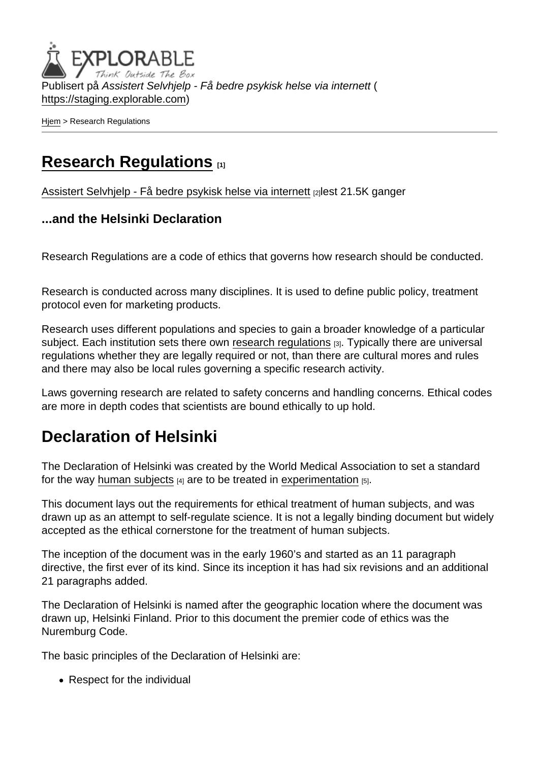Publisert på Assistert Selvhjelp - Få bedre psykisk helse via internett ( <https://staging.explorable.com>)

[Hjem](https://staging.explorable.com/) > Research Regulations

## [Research Regulations](https://staging.explorable.com/research-regulations) [1]

[Assistert Selvhjelp - Få bedre psykisk helse via internett](https://staging.explorable.com/en) [2] lest 21.5K ganger

...and the Helsinki Declaration

Research Regulations are a code of ethics that governs how research should be conducted.

Research is conducted across many disciplines. It is used to define public policy, treatment protocol even for marketing products.

Research uses different populations and species to gain a broader knowledge of a particular subject. Each institution sets there own [research regulations](http://www.adelaide.edu.au/ethics/animal/) [3]. Typically there are universal regulations whether they are legally required or not, than there are cultural mores and rules and there may also be local rules governing a specific research activity.

Laws governing research are related to safety concerns and handling concerns. Ethical codes are more in depth codes that scientists are bound ethically to up hold.

## Declaration of Helsinki

The Declaration of Helsinki was created by the World Medical Association to set a standard for the way [human subjects](https://staging.explorable.com/social-science-subjects)  $[4]$  are to be treated in [experimentation](https://staging.explorable.com/conducting-an-experiment)  $[5]$ .

This document lays out the requirements for ethical treatment of human subjects, and was drawn up as an attempt to self-regulate science. It is not a legally binding document but widely accepted as the ethical cornerstone for the treatment of human subjects.

The inception of the document was in the early 1960's and started as an 11 paragraph directive, the first ever of its kind. Since its inception it has had six revisions and an additional 21 paragraphs added.

The Declaration of Helsinki is named after the geographic location where the document was drawn up, Helsinki Finland. Prior to this document the premier code of ethics was the Nuremburg Code.

The basic principles of the Declaration of Helsinki are:

• Respect for the individual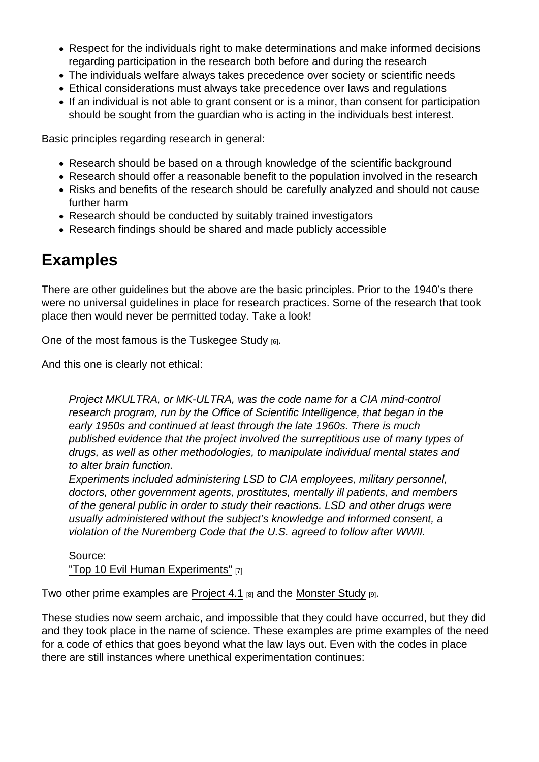- Respect for the individuals right to make determinations and make informed decisions regarding participation in the research both before and during the research
- The individuals welfare always takes precedence over society or scientific needs
- Ethical considerations must always take precedence over laws and regulations
- If an individual is not able to grant consent or is a minor, than consent for participation should be sought from the guardian who is acting in the individuals best interest.

Basic principles regarding research in general:

- Research should be based on a through knowledge of the scientific background
- Research should offer a reasonable benefit to the population involved in the research
- Risks and benefits of the research should be carefully analyzed and should not cause further harm
- Research should be conducted by suitably trained investigators
- Research findings should be shared and made publicly accessible

## Examples

There are other guidelines but the above are the basic principles. Prior to the 1940's there were no universal guidelines in place for research practices. Some of the research that took place then would never be permitted today. Take a look!

One of the most famous is the [Tuskegee Study](https://staging.explorable.com/tuskegee-syphilis-study)  $[6]$ .

And this one is clearly not ethical:

Project MKULTRA, or MK-ULTRA, was the code name for a CIA mind-control research program, run by the Office of Scientific Intelligence, that began in the early 1950s and continued at least through the late 1960s. There is much published evidence that the project involved the surreptitious use of many types of drugs, as well as other methodologies, to manipulate individual mental states and to alter brain function.

Experiments included administering LSD to CIA employees, military personnel, doctors, other government agents, prostitutes, mentally ill patients, and members of the general public in order to study their reactions. LSD and other drugs were usually administered without the subject's knowledge and informed consent, a violation of the Nuremberg Code that the U.S. agreed to follow after WWII.

Source: ["Top 10 Evil Human Experiments"](http://listverse.com/2008/03/14/top-10-evil-human-experiments/) [7]

Two other prime examples are [Project 4.1](http://en.wikipedia.org/wiki/Project_4.1)  $_{[8]}$  and the [Monster Study](http://en.wikipedia.org/wiki/The_Monster_Study)  $_{[9]}$ .

These studies now seem archaic, and impossible that they could have occurred, but they did and they took place in the name of science. These examples are prime examples of the need for a code of ethics that goes beyond what the law lays out. Even with the codes in place there are still instances where unethical experimentation continues: